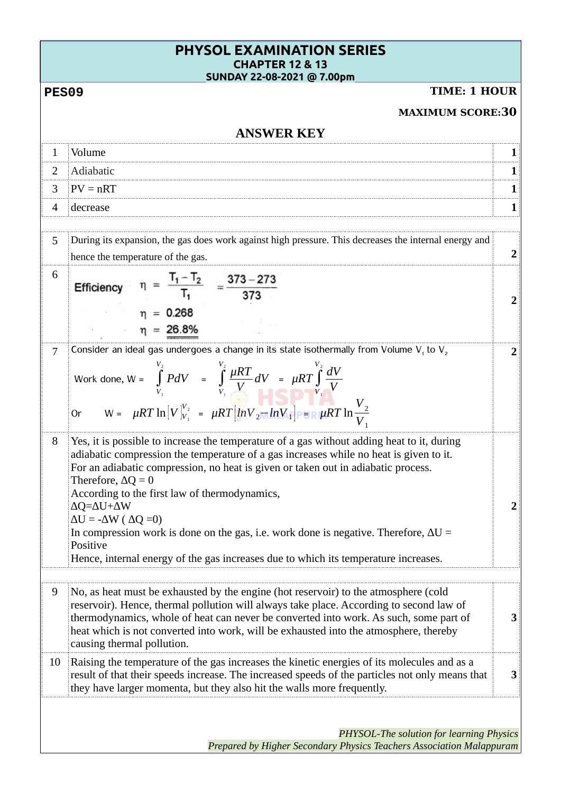|              | <b>PHYSOL EXAMINATION SERIES</b><br><b>CHAPTER 12 &amp; 13</b>                                                                                                                                                                                                                                                                                                                                                                                                                                                                                                                                                                          |                         |
|--------------|-----------------------------------------------------------------------------------------------------------------------------------------------------------------------------------------------------------------------------------------------------------------------------------------------------------------------------------------------------------------------------------------------------------------------------------------------------------------------------------------------------------------------------------------------------------------------------------------------------------------------------------------|-------------------------|
| <b>PES09</b> | SUNDAY 22-08-2021 @ 7.00pm<br><b>TIME: 1 HOUR</b>                                                                                                                                                                                                                                                                                                                                                                                                                                                                                                                                                                                       |                         |
|              | <b>MAXIMUM SCORE:30</b>                                                                                                                                                                                                                                                                                                                                                                                                                                                                                                                                                                                                                 |                         |
|              | <b>ANSWER KEY</b>                                                                                                                                                                                                                                                                                                                                                                                                                                                                                                                                                                                                                       | 1<br>1<br>1<br>2<br>2   |
| 1            | Volume                                                                                                                                                                                                                                                                                                                                                                                                                                                                                                                                                                                                                                  | 1                       |
| 2            | Adiabatic                                                                                                                                                                                                                                                                                                                                                                                                                                                                                                                                                                                                                               |                         |
| 3            | $PV = nRT$                                                                                                                                                                                                                                                                                                                                                                                                                                                                                                                                                                                                                              |                         |
| 4            | decrease                                                                                                                                                                                                                                                                                                                                                                                                                                                                                                                                                                                                                                |                         |
|              |                                                                                                                                                                                                                                                                                                                                                                                                                                                                                                                                                                                                                                         |                         |
| 5            | During its expansion, the gas does work against high pressure. This decreases the internal energy and<br>hence the temperature of the gas.                                                                                                                                                                                                                                                                                                                                                                                                                                                                                              | $\overline{2}$          |
| 6            | $\eta = \frac{T_1 - T_2}{T_1} = \frac{373 - 273}{373}$<br>Efficiency<br>$= 0.268$<br>$\eta = 26.8\%$                                                                                                                                                                                                                                                                                                                                                                                                                                                                                                                                    |                         |
| 7            | Consider an ideal gas undergoes a change in its state isothermally from Volume V, to V,<br>Work done, $W = \int_{V_1}^{V_2} P dV = \int_{V_1}^{V_2} \frac{\mu RT}{V} dV = \mu RT \int_{V_1}^{V_2} \frac{dV}{V}$<br>$W = \mu RT \ln [V]_{V_1}^{V_2} = \mu RT \left[ \ln V_2 - \ln V_1 \right]$ PER $\mu RT \ln \frac{V_2}{V_1}$<br><b>Or</b>                                                                                                                                                                                                                                                                                             |                         |
| 8            | Yes, it is possible to increase the temperature of a gas without adding heat to it, during<br>adiabatic compression the temperature of a gas increases while no heat is given to it.<br>For an adiabatic compression, no heat is given or taken out in adiabatic process.<br>Therefore, $\Delta Q = 0$<br>According to the first law of thermodynamics,<br>$\Delta Q = \Delta U + \Delta W$<br>$\Delta U = -\Delta W ( \Delta Q = 0)$<br>In compression work is done on the gas, i.e. work done is negative. Therefore, $\Delta U =$<br>Positive<br>Hence, internal energy of the gas increases due to which its temperature increases. | $\overline{\mathbf{2}}$ |
| 9            | No, as heat must be exhausted by the engine (hot reservoir) to the atmosphere (cold<br>reservoir). Hence, thermal pollution will always take place. According to second law of<br>thermodynamics, whole of heat can never be converted into work. As such, some part of<br>heat which is not converted into work, will be exhausted into the atmosphere, thereby<br>causing thermal pollution.                                                                                                                                                                                                                                          | 3                       |
| 10           | Raising the temperature of the gas increases the kinetic energies of its molecules and as a<br>result of that their speeds increase. The increased speeds of the particles not only means that<br>they have larger momenta, but they also hit the walls more frequently.                                                                                                                                                                                                                                                                                                                                                                | 3                       |
|              | <b>PHYSOL-The solution for learning Physics</b><br>Prepared by Higher Secondary Physics Teachers Association Malappuram                                                                                                                                                                                                                                                                                                                                                                                                                                                                                                                 |                         |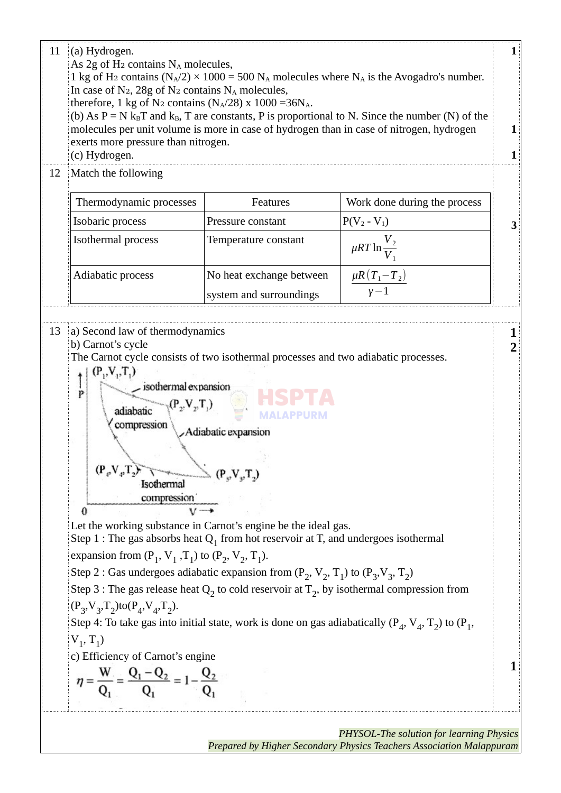| (c) Hydrogen.                                                                                                                                                                                                                                                                                                                                                   | exerts more pressure than nitrogen.                                                                                                                                                                                                                                                                                                                                                                                                                                                                                                                                                                                      | molecules per unit volume is more in case of hydrogen than in case of nitrogen, hydrogen | 1<br>1 |
|-----------------------------------------------------------------------------------------------------------------------------------------------------------------------------------------------------------------------------------------------------------------------------------------------------------------------------------------------------------------|--------------------------------------------------------------------------------------------------------------------------------------------------------------------------------------------------------------------------------------------------------------------------------------------------------------------------------------------------------------------------------------------------------------------------------------------------------------------------------------------------------------------------------------------------------------------------------------------------------------------------|------------------------------------------------------------------------------------------|--------|
| Match the following<br>12                                                                                                                                                                                                                                                                                                                                       |                                                                                                                                                                                                                                                                                                                                                                                                                                                                                                                                                                                                                          |                                                                                          |        |
| Thermodynamic processes                                                                                                                                                                                                                                                                                                                                         | Features                                                                                                                                                                                                                                                                                                                                                                                                                                                                                                                                                                                                                 | Work done during the process                                                             |        |
| Isobaric process                                                                                                                                                                                                                                                                                                                                                | Pressure constant                                                                                                                                                                                                                                                                                                                                                                                                                                                                                                                                                                                                        | $P(V_2 - V_1)$                                                                           | З      |
| Isothermal process                                                                                                                                                                                                                                                                                                                                              | Temperature constant                                                                                                                                                                                                                                                                                                                                                                                                                                                                                                                                                                                                     | $\mu RT \ln \frac{1}{2}$                                                                 |        |
| Adiabatic process                                                                                                                                                                                                                                                                                                                                               | No heat exchange between                                                                                                                                                                                                                                                                                                                                                                                                                                                                                                                                                                                                 | $\frac{\mu R (T_1 - T_2)}{\gamma - 1}$                                                   |        |
|                                                                                                                                                                                                                                                                                                                                                                 | system and surroundings                                                                                                                                                                                                                                                                                                                                                                                                                                                                                                                                                                                                  |                                                                                          |        |
| 13<br>a) Second law of thermodynamics<br>b) Carnot's cycle<br>$(P_1, V_1, T_1)$<br>isothermal expansion<br>p<br>adiabatic<br>compression<br>$(\mathbf{P}_{\varphi} \mathbf{V}_{\varphi} \mathbf{T}_{2})$<br>Isothermal<br>compression<br>€<br>expansion from $(P_1, V_1, T_1)$ to $(P_2, V_2, T_1)$ .<br>$(P_3, V_3, T_2)$ to $(P_4, V_4, T_2)$ .<br>$V_1, T_1$ | The Carnot cycle consists of two isothermal processes and two adiabatic processes.<br>Adiabatic expansion<br>$\longrightarrow$ $(P_vV_vT_v)$<br>Let the working substance in Carnot's engine be the ideal gas.<br>Step 1 : The gas absorbs heat $Q_1$ from hot reservoir at T, and undergoes isothermal<br>Step 2 : Gas undergoes adiabatic expansion from $(P_2, V_2, T_1)$ to $(P_3, V_3, T_2)$<br>Step 3 : The gas release heat $Q_2$ to cold reservoir at $T_2$ , by isothermal compression from<br>Step 4: To take gas into initial state, work is done on gas adiabatically ( $P_4$ , $V_4$ , $T_2$ ) to ( $P_1$ , |                                                                                          | 2      |

*Prepared by Higher Secondary Physics Teachers Association Malappuram*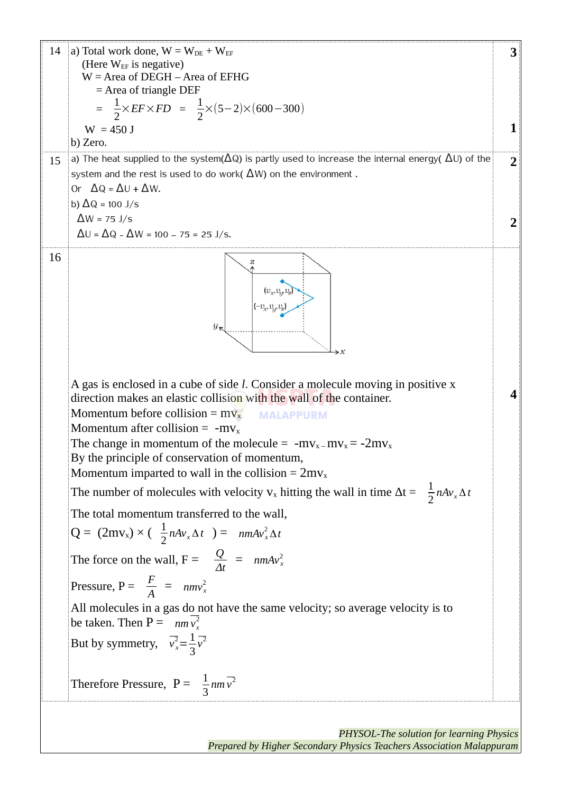14 a) Total work done,  $W = W_{DE} + W_{EF}$ **3** (Here  $W_{EF}$  is negative) W = Area of DEGH – Area of EFHG = Area of triangle DEF  $=\frac{1}{2}$  $\frac{1}{2} \times EF \times FD = \frac{1}{2}$  $\frac{1}{2}$ ×(5−2)×(600−300)  $W = 450$  J **1** b) Zero. 15 a) The heat supplied to the system( $\Delta$ Q) is partly used to increase the internal energy(  $\Delta$ U) of the **2** system and the rest is used to do work( $\Delta W$ ) on the environment. Or  $\Delta Q = \Delta U + \Delta W$ . b)  $\Delta$ Q = 100 J/s  $\Delta W = 75$  J/s **2**  $\Delta U = \Delta Q - \Delta W = 100 - 75 = 25$  J/s. 16  $(v_{\nu},v_{\nu},v_{\nu})$  $\mathfrak{y}$ A gas is enclosed in a cube of side *l*. Consider a molecule moving in positive x **4** direction makes an elastic collision with the wall of the container. Momentum before collision =  $m_{x}$ **MALAPPURM** Momentum after collision =  $-mv_x$ The change in momentum of the molecule =  $-mv_x-mv_x = -2mv_x$ By the principle of conservation of momentum, Momentum imparted to wall in the collision =  $2mv_x$ The number of molecules with velocity  $v_x$  hitting the wall in time  $\Delta t = \frac{1}{2} n A v_x \Delta t$ The total momentum transferred to the wall,  $Q = (2mv_x) \times (\frac{1}{2}nAv_x \Delta t) = nmAv_x^2 \Delta t$ The force on the wall,  $F = \frac{Q}{A}$  $\frac{Q}{\Delta t}$  =  $nmAv_x^2$ Pressure,  $P = \frac{F}{A} = nmv_x^2$ All molecules in a gas do not have the same velocity; so average velocity is to be taken. Then  $P = \frac{m}{v_x^2}$ But by symmetry,  $\overline{v_x^2} = \frac{1}{2}$ *v* 2 3 Therefore Pressure,  $P = \frac{1}{3}$  $nm\overline{v^2}$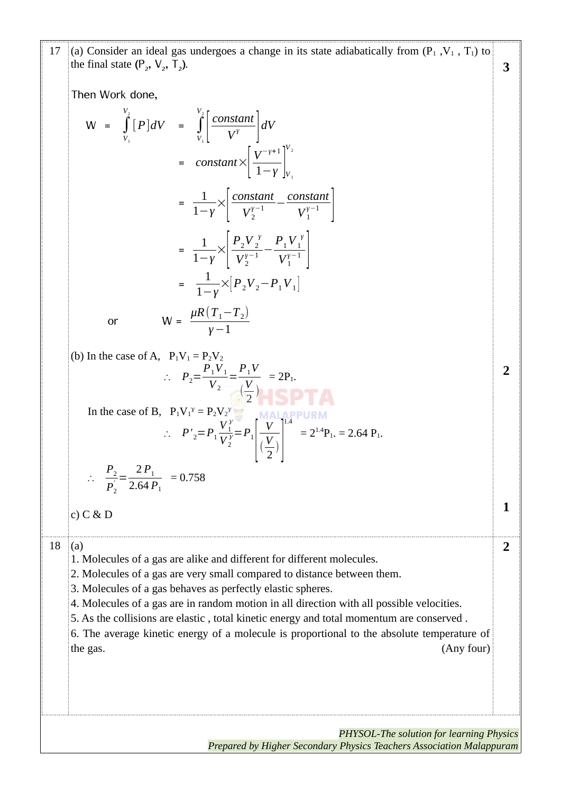| 17        | (a) Consider an ideal gas undergoes a change in its state adiabatically from $(P_1, V_1, T_1)$ to<br>the final state $(P_2, V_2, T_2)$ .                                                                                                                                                                                                                                                                                                                                                                | 3              |
|-----------|---------------------------------------------------------------------------------------------------------------------------------------------------------------------------------------------------------------------------------------------------------------------------------------------------------------------------------------------------------------------------------------------------------------------------------------------------------------------------------------------------------|----------------|
|           | Then Work done,                                                                                                                                                                                                                                                                                                                                                                                                                                                                                         |                |
|           | $W = \int_{V}^{2} [P]dV = \int_{V}^{2} \left[ \frac{\text{constant}}{V^{\gamma}} \right] dV$                                                                                                                                                                                                                                                                                                                                                                                                            |                |
|           | = constant $\times \left  \frac{V^{-\gamma+1}}{1-v} \right _V^{\frac{v_2}{2}}$                                                                                                                                                                                                                                                                                                                                                                                                                          |                |
|           | $=\frac{1}{1-\gamma}\times\left \frac{\text{constant}}{V_2^{y-1}}-\frac{\text{constant}}{V_1^{y-1}}\right $                                                                                                                                                                                                                                                                                                                                                                                             |                |
|           | $= \frac{1}{1-y} \times \left  \frac{P_2 V_2^{\gamma}}{V_2^{\gamma-1}} - \frac{P_1 V_1^{\gamma}}{V_1^{\gamma-1}} \right $                                                                                                                                                                                                                                                                                                                                                                               |                |
|           | = $\frac{1}{1-v} \times [P_2 V_2 - P_1 V_1]$                                                                                                                                                                                                                                                                                                                                                                                                                                                            |                |
|           | $W = \frac{\mu R (T_1 - T_2)}{V_1 - 1}$<br>or                                                                                                                                                                                                                                                                                                                                                                                                                                                           |                |
|           | (b) In the case of A, $P_1V_1 = P_2V_2$<br>$\therefore P_2 = \frac{P_1 V_1}{V_2} = \frac{P_1 V}{V_2} = 2P_1.$                                                                                                                                                                                                                                                                                                                                                                                           | $\overline{2}$ |
|           | In the case of B, $P_1V_1^{\gamma} = P_2V_2^{\gamma}$<br>$\therefore P'_{2} = P_{1} \frac{V_{1}^{y}}{V_{2}^{y}} = P_{1} \left[ \frac{V}{\left( \frac{V}{c} \right)} \right]^{1.4} = 2^{1.4} P_{1} = 2.64 P_{1}.$                                                                                                                                                                                                                                                                                        |                |
|           | $\therefore \quad \frac{P_2}{P_2} = \frac{2 P_1}{2.64 P_1} = 0.758$                                                                                                                                                                                                                                                                                                                                                                                                                                     |                |
|           | $c)$ $C$ & $D$                                                                                                                                                                                                                                                                                                                                                                                                                                                                                          |                |
|           |                                                                                                                                                                                                                                                                                                                                                                                                                                                                                                         |                |
| 18<br>(a) | 1. Molecules of a gas are alike and different for different molecules.<br>2. Molecules of a gas are very small compared to distance between them.<br>3. Molecules of a gas behaves as perfectly elastic spheres.<br>4. Molecules of a gas are in random motion in all direction with all possible velocities.<br>5. As the collisions are elastic, total kinetic energy and total momentum are conserved.<br>6. The average kinetic energy of a molecule is proportional to the absolute temperature of | $\overline{2}$ |
|           | (Any four)<br>the gas.                                                                                                                                                                                                                                                                                                                                                                                                                                                                                  |                |
|           | PHYSOL-The solution for learning Physics<br>Prepared by Higher Secondary Physics Teachers Association Malappuram                                                                                                                                                                                                                                                                                                                                                                                        |                |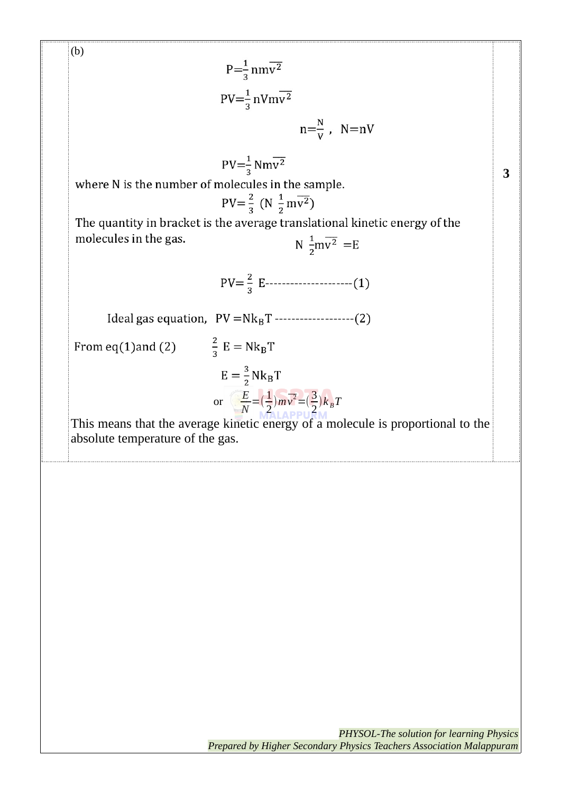(b)  $P=\frac{1}{3}nm\overline{v^2}$  $PV = \frac{1}{3} nV m v^2$  $n=\frac{N}{V}$ ,  $N=nV$  $PV = \frac{1}{2} Nm\overline{v^2}$ where N is the number of molecules in the sample.  $PV = \frac{2}{3} (N \frac{1}{2} m \overline{v^2})$ The quantity in bracket is the average translational kinetic energy of the molecules in the gas. N  $\frac{1}{2}mv^2$  = E  $PV = \frac{2}{3} E$ -----------------------(1) Ideal gas equation,  $PV = Nk_B T$  -------------------(2)  $\frac{2}{3}$  E = Nk<sub>B</sub>T From  $eq(1)$  and  $(2)$  $E = \frac{3}{2} N k_B T$ or  $\begin{array}{c} \n\sqrt{E} \\
\hline\n\sqrt{E}\n\end{array}$  $\frac{E}{N} = (\frac{1}{2})$  $\frac{1}{2}$ ) $m\overline{v^2} = (\frac{3}{2})$  $\frac{2}{2}$  $k_B T$ This means that the average kinetic energy of a molecule is proportional to the absolute temperature of the gas.

**3**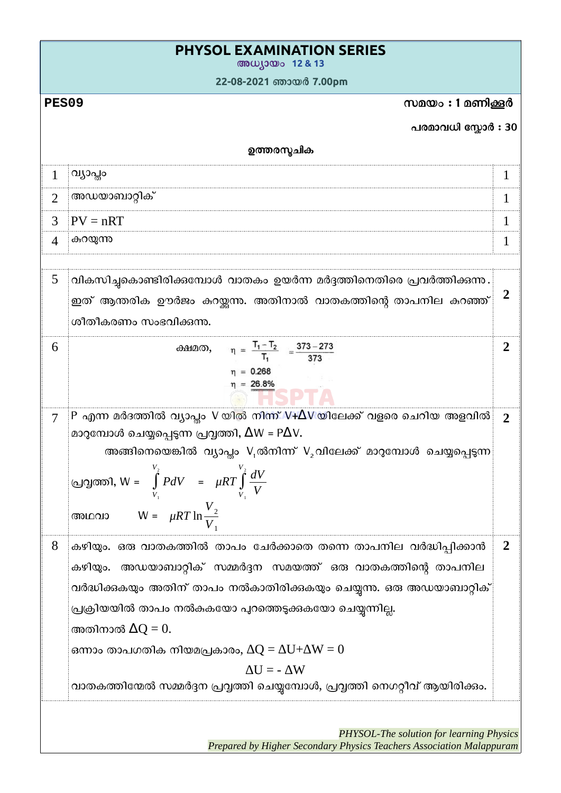|                          | <b>PHYSOL EXAMINATION SERIES</b><br>അധ്യായം 12 & 13                                                                   |                |
|--------------------------|-----------------------------------------------------------------------------------------------------------------------|----------------|
|                          | 22-08-2021 ഞായർ 7.00pm                                                                                                |                |
| <b>PES09</b>             | സമയം : 1 മണിക്കൂർ                                                                                                     |                |
|                          | പരമാവധി സ്കോർ : 30                                                                                                    |                |
|                          | ഉത്തരസ്മചിക                                                                                                           |                |
| $\mathbf{1}$             | വ്യാപ്തം                                                                                                              | 1              |
| $\overline{2}$           | അഡയാബാറ്റിക്                                                                                                          | 1              |
| 3                        | $PV = nRT$                                                                                                            | 1              |
| $\overline{\mathcal{A}}$ | കറയുന്ന                                                                                                               | 1              |
|                          |                                                                                                                       |                |
| 5                        | വികസിച്ചകൊണ്ടിരിക്കമ്പോൾ വാതകം ഉയർന്ന മർദ്ദത്തിനെതിരെ പ്രവർത്തിക്കുന്നു.                                              |                |
|                          | ഇത് ആന്തരിക ഊർജം കറയ്ക്കന്നു. അതിനാൽ വാതകത്തിന്റെ താപനില കറഞ്ഞ്                                                       | $\overline{2}$ |
|                          | ശീതീകരണം സംഭവിക്കുന്നു.                                                                                               |                |
| 6                        | $\eta = \frac{T_1 - T_2}{T_1} = \frac{373 - 273}{373}$<br>ക്ഷമത,                                                      | $\overline{2}$ |
|                          | $\eta = 0.268$                                                                                                        |                |
|                          | $\eta = 26.8\%$                                                                                                       |                |
| 7                        | P എന്ന മർദത്തിൽ വ്യാപ്തം V യിൽ നിന്ന് V+ $\Delta$ V യിലേക്ക് വളരെ ചെറിയ അളവിൽ $\parallel$                             | $\overline{2}$ |
|                          | മാറുമ്പോൾ ചെയ്യപ്പെടുന്ന പ്രവൃത്തി, $\Delta W = P \Delta V$ .                                                         |                |
|                          | അങ്ങിനെയെങ്കിൽ വ്യാപ്തം V <sub>1</sub> ൽനിന്ന് V <sub>2</sub> വിലേക്ക് മാറുമ്പോൾ ചെയ്യപ്പെടുന്ന                       |                |
|                          | പ്രവൃത്തി, W = $\int_{V_1}^{V_2} P dV$ = $\mu RT \int_{V_1}^{V_2} \frac{dV}{V}$ അഥവാ W = $\mu RT \ln \frac{V_2}{V_1}$ |                |
|                          |                                                                                                                       |                |
|                          |                                                                                                                       |                |
| 8                        | കഴിയും. ഒരു വാതകത്തിൽ താപം ചേർക്കാതെ തന്നെ താപനില വർദ്ധിപ്പിക്കാൻ                                                     | $\overline{2}$ |
|                          | കഴിയും. അഡയാബാറ്റിക് സമ്മർദ്ദന സമയത്ത് ഒരു വാതകത്തിന്റെ താപനില                                                        |                |
|                          | വർദ്ധിക്കുകയും അതിന് താപം നൽകാതിരിക്കുകയും ചെയ്യുന്നു. ഒരു അഡയാബാറ്റിക്                                               |                |
|                          | പ്രക്രിയയിൽ താപം നൽകകയോ പുറത്തെടുക്കുകയോ ചെയ്യന്നില്ല.                                                                |                |
|                          | അതിനാൽ $\Delta Q = 0$ .                                                                                               |                |
|                          | ഒന്നാം താപഗതിക നിയമപ്രകാരം, $\Delta Q = \Delta U + \Delta W = 0$                                                      |                |
|                          | $\Delta U = -\Delta W$                                                                                                |                |
|                          | വാതകത്തിന്മേൽ സമ്മർദ്ദന പ്രവ്വത്തി ചെയ്യമ്പോൾ, പ്രവ്വത്തി നെഗറ്റീവ് ആയിരിക്കും.                                       |                |
|                          |                                                                                                                       |                |
|                          | PHYSOL-The solution for learning Physics                                                                              |                |

 $\overline{\phantom{a}}$ 

*Prepared by Higher Secondary Physics Teachers Association Malappuram*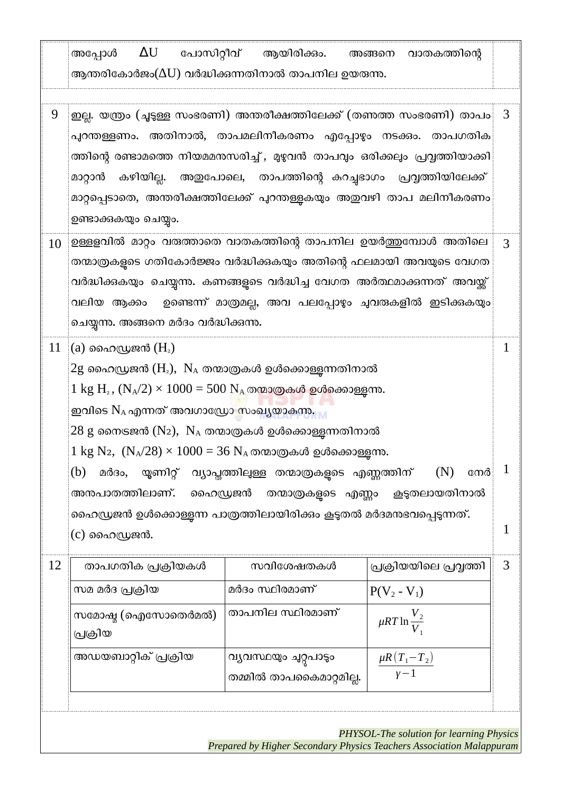|    | അപ്പോൾ<br>ആന്തരികോർജം $(\Delta \text{U})$ വർദ്ധിക്കന്നതിനാൽ താപനില ഉയരുന്നു.                                                                                                                                                                                                                                                                                                                                                                                                                                                                                                   | $\Delta$ U പോസിറ്റീവ് ആയിരിക്കം.                           | അങ്ങനെ വാതകത്തിന്റെ                                                       |
|----|--------------------------------------------------------------------------------------------------------------------------------------------------------------------------------------------------------------------------------------------------------------------------------------------------------------------------------------------------------------------------------------------------------------------------------------------------------------------------------------------------------------------------------------------------------------------------------|------------------------------------------------------------|---------------------------------------------------------------------------|
| 9  | ഇല്ല. യത്രം (ചൂടുള്ള സംഭരണി) അന്തരീക്ഷത്തിലേക്ക് (തണത്ത സംഭരണി) താപം $\mid 3 \rangle$<br>പുറന്തള്ളണം. അതിനാൽ, താപമലിനീകരണം എപ്പോഴും നടക്കം. താപഗതിക $\frac{1}{2}$<br>ത്തിന്റെ രണ്ടാമത്തെ നിയമമന്തസരിച്ച് , മുഴുവൻ താപവും ഒരിക്കലും പ്രവ്വത്തിയാക്കി<br>മാറ്റാൻ<br>മാറ്റപ്പെടാതെ, അന്തരീക്ഷത്തിലേക്ക് പുറന്തള്ളകയും അഇവഴി താപ മലിനീകരണം<br>ഉണ്ടാക്കുകയും ചെയ്യം.                                                                                                                                                                                                                | കഴിയില്ല. അഇപോലെ, താപത്തിന്റെ കറച്ചഭാഗം പ്രവ്വത്തിയിലേക്ക് |                                                                           |
| 10 | ഉള്ളളവിൽ മാറ്റം വരുത്താതെ വാതകത്തിന്റെ താപനില ഉയർത്തുമ്പോൾ അതിലെ<br>തന്മാത്രകളുടെ ഗതികോർജ്ജം വർദ്ധിക്കുകയും അതിന്റെ ഫലമായി അവയുടെ വേഗത<br>വർദ്ധിക്കുകയും ചെയ്യന്നു. കണങ്ങളുടെ വർദ്ധിച്ച വേഗത അർത്ഥമാക്കുന്നത് അവയ്ക്ക്<br>വലിയ ആക്കം  ഉണ്ടെന്ന് മാത്രമല്ല, അവ പലപ്പോഴും ചുവരുകളിൽ ഇടിക്കുകയും<br>ചെയ്യന്നു. അങ്ങനെ മർദം വർദ്ധിക്കുന്നു.                                                                                                                                                                                                                                        |                                                            |                                                                           |
| 11 | $\mathbb{P}(\mathrm{a})$ ഹൈഡ്രജൻ $(\mathrm{H}_{\scriptscriptstyle{2}})$<br>$2$ g ഹൈഡ്രജൻ ( $H_z$ ), $N_A$ തന്മാത്രകൾ ഉൾക്കൊള്ളുന്നതിനാൽ<br>$1 \text{ kg } H_2$ , $(N_A/2) \times 1000 = 500 N_A$ തന്മാത്രകൾ ഉൾക്കൊള്ളന്നു.<br>ഇവിടെ N <sub>A</sub> എന്നത് അവഗാഡ്രോ സംഖ്യയാകുന്നു.<br>$28$ g നൈടജൻ (N2), $N_A$ തന്മാത്രകൾ ഉൾക്കൊള്ളുന്നതിനാൽ<br>$1 \text{ kg N}_2$ , $(N_A/28) \times 1000 = 36 N_A$ തന്മാത്രകൾ ഉൾക്കൊള്ളന്നു.<br>(b)<br>യ്യണിറ്റ്<br>മർദം,<br>അനപാതത്തിലാണ്.<br>ഹൈഡ്രജൻ<br>ഹൈഡ്രജൻ ഉൾക്കൊള്ളന്ന പാത്രത്തിലായിരിക്കം കൂടുതൽ മർദമനഭവപ്പെടുന്നത്.<br>(c) ഹൈഡ്രജൻ. | വ്യാപ്ത്തിലുള്ള തന്മാത്രകളുടെ എണ്ണത്തിന്                   | (N)<br>നേർ<br>തന്മാത്രകളുടെ എണ്ണം കൂടുതലായതിനാൽ                           |
| 12 | താപഗതിക പ്രക്രിയകൾ<br>സമ മർദ പ്രക്രിയ<br>സമോഷ്ട (ഐസോതെർമൽ)                                                                                                                                                                                                                                                                                                                                                                                                                                                                                                                     | സവിശേഷതകൾ<br>മർദം സ്ഥിരമാണ്<br>താപനില സ്ഥിരമാണ്            | പ്രക്രിയയിലെ പ്രവ്വത്തി<br>$P(V_2 - V_1)$<br>$\mu RT \ln \frac{V_2}{V_1}$ |
|    | പ്രക്രിയ<br>അഡയബാറ്റിക് പ്രക്രിയ                                                                                                                                                                                                                                                                                                                                                                                                                                                                                                                                               | ഗീഗ്വഗ്നനൽം ച്യ്പാട്ടം                                     | $\frac{\mu R (T_1 - T_2)}{\gamma - 1}$                                    |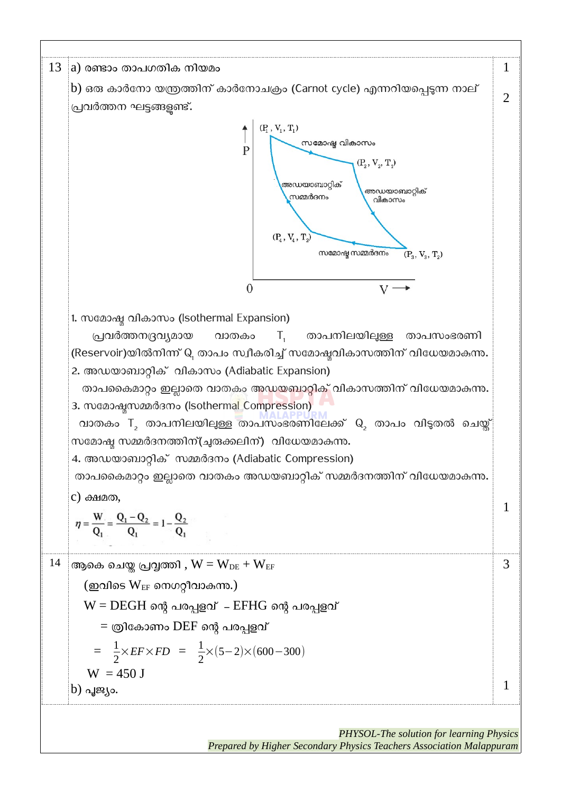

*Prepared by Higher Secondary Physics Teachers Association Malappuram*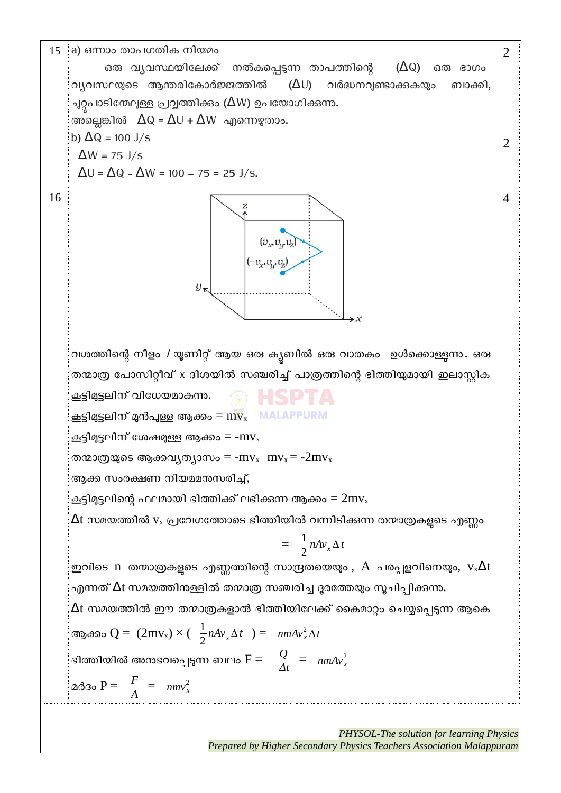15 a) ഒന്നാം താപഗതിക നിയമം 2 ഒരു വ്യവസ്ഥയിലേക്ക് നൽകപ്പെടുന്ന താപത്തിന്റെ  $(\Delta Q)$  ഒരു ഭാഗം വ്യവസ്ഥയുടെ ആന്തരികോർജ്ജത്തിൽ  $(AU)$  വർദ്ധനവുണ്ടാക്കുകയും ബാക്കി, ചുറ്റപാടിന്മേലുള്ള പ്രവൃത്തിക്കാം ( $\Delta$ W) ഉപയോഗിക്കുന്നു. അല്ലെങ്കിൽ  $\Delta Q = \Delta U + \Delta W$  എന്നെഴുതാം. b)  $\Delta Q = 100$  J/s 2  $\Delta W = 75$  J/s  $\Delta U = \Delta Q - \Delta W = 100 - 75 = 25$  J/s. 16 4  $y_{\kappa}$ വശത്തിന്റെ നീളം / യൂണിറ്റ് ആയ ഒരു ക്യബിൽ ഒരു വാതകം ഉൾക്കൊള്ളുന്നു. ഒരു തന്മാത്ര പോസിറ്റീവ് x ദിശയിൽ സഞ്ചരിച്ച് പാത്രത്തിന്റെ ഭിത്തിയുമായി ഇലാസ്റ്റിക കൂട്ടിമുട്ടലിന് വിധേയമാകുന്നു. കൂട്ടിമുട്ടലിന് മുൻപുള്ള ആക്കം =  $m v_x$ **MALAPPURM** കൂട്ടിമുട്ടലിന് ശേഷമുള്ള ആക്കം = - $mv_x$ തന്മാത്രയുടെ ആക്കവ്യത്യാസം = - $mv_x$ - $mv_x$ = - $2mv_x$ ആക്ക സംരക്ഷണ #ിയമമനുസരിച്ച്, കൂട്ടിമുട്ടലിന്റെ ഫലമായി ഭിത്തിക്ക് ലഭിക്കുന്ന ആക്കം =  $2\text{mv}_x$  $\Delta$ t സമയത്തിൽ v $_{\mathrm{x}}$  പ്രവേഗത്തോടെ ഭിത്തിയിൽ വന്നിടിക്കുന്ന തന്മാത്രകളടെ എണ്ണം 1 =  $\frac{1}{2}nAv_x\Delta t$ ഇവിടെ n തന്മാത്രകളുടെ എണ്ണത്തിന്റെ സാന്ദ്രതയെയും ,  $A$  പരപ്പളവിനെയും,  $v_x\Delta t$ എന്നത്  $\Delta$ t സമയത്തിനള്ളിൽ തന്മാത്ര സഞ്ചരിച്ച ദൂരത്തേയും സൂചിപ്പിക്കുന്നു.  $\Delta$ t സമയത്തിൽ ഈ തന്മാത്രകളാൽ ഭിത്തിയിലേക്ക് കൈമാറ്റം ചെയ്യപ്പെടുന്ന ആകെ ആക്കം Q =  $(2mv_x) \times (\frac{1}{2}nAv_x \Delta t) = nmAv_x^2 \Delta t$ ഭിത്തിയിൽ അനുഭവപ്പെടുന്ന ബലം  $F = \frac{Q}{\Delta t} = \frac{1}{2} m A v_x^2$ മർദം P =  $\frac{F}{A}$  =  $nmv_x^2$ 

> *PHYSOL-The solution for learning Physics Prepared by Higher Secondary Physics Teachers Association Malappuram*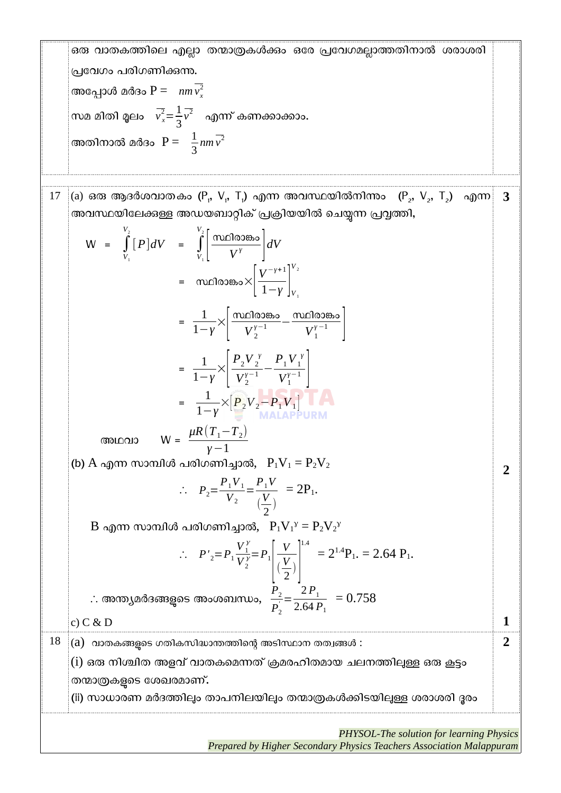ഒരു വാതകത്തിലെ എല്ലാ തന്മാത്രകൾക്കം ഒരേ പ്രവേഗമല്ലാത്തതിനാൽ ശരാശരി പ്രമ്പവഗം പരിഗണിക്കുന്നു. അപ്പോൾ മർദം P =  $nm\overline{v_x^2}$ സമ മിതി മൂലം  $\overline{v}_x^2 = \frac{1}{3}$ 3  $v^2$  എന്ന് കണക്കാക്കാം. അതിനാൽ മർദം  $P = \frac{1}{3}$  $nm\overline{v^2}$  $17$   $\,$   $\,$  (a) ഒരു ആദർശവാതകം (P $_{\rm r}$ , V $_{\rm r}$ , T $_{\rm r}$ ) എന്ന അവസ്ഥയിൽനിന്നും  $\,$  (P $_{\rm 2}$ , V $_{\rm 2}$ , T $_{\rm 2}$ )  $\,$  എന്ന അവസ്ഥയിലേക്കുള്ള അഡയബാറ്റിക് പ്രക്രിയയിൽ ചെയ്യന്ന പ്രവ്വത്തി,  $W = \int$  $V_1$  $V<sub>2</sub>$  $[P]dV = \int$  $V<sub>1</sub>$  $V_{2}$  $\left| \frac{\text{mol<sub>CD</sub><sub>0</sub>}}{V^{\gamma}} \right| dV$ = സ്ഥിരാങ്കം $\times$  $\Big|$ ് *V* −*γ*+1  $\overline{1-\gamma}\bigg|_{V_1}$  $V_{2}$  = 1  $rac{1}{1-\gamma}$  $\times \left| \frac{\text{π }0$ ിരാങ്കം *<sup>γ</sup>*−<sup>1</sup> <sup>−</sup>സ്ഥിരാങ്കം  $V_1^{\gamma-1}$  | = 1  $\frac{1}{1-\gamma}$ × $\Big|$  $P_2V_2^{\gamma}$  $V_2^{\gamma}$  $\frac{2}{\gamma-1}$  –  $P_1V_1^{\gamma}$  $V_1^{\gamma-1}$   $\Big\vert$  = 1  $\frac{1}{1-\gamma}$ × $\left[P_2V_2-P_1V_1\right]$  അഥവാ W =  $\mu$ R $(T_1-T_2)$ *γ*−1 (b) A എന്ന സാമ്പിൾ പരിഗണിച്ചാൽ,  $P_1V_1 = P_2V_2$  $\therefore$   $P_2 = \frac{P_1 V_1}{V_2}$  $\frac{P_1 V_1}{V_2} = \frac{P_1 V_2}{V_1}$  $\left(\frac{V}{2}\right)$  $\frac{r}{2}$  $= 2P_1.$  $\rm{B}$  എന്ന സാമ്പിൾ പരിഗണിച്ചാൽ,  $\rm{P_1V_1}^y = P_2V_2^y$  $\therefore$   $P'_{2}=P_{1}$  ${V}_1^{\gamma}$  $V_2^{\lambda}$  $\frac{1}{y} = P_1$  $\vert$  (-*V*  $\left(\frac{V}{2}\right)$  $\frac{v}{2}$ )  $1.4$ <br>=  $2^{1.4}P_1$ . = 2.64  $P_1$ . ∴ അന്ത്യമർദങ്ങളുകട അംശബന്ധം, *P*2  $\frac{2}{P_2}$  =  $2 P_1$  $2.64 P_1$  $= 0.758$ c) C & D **3 2 1**  $\begin{bmatrix} 18 \end{bmatrix}$  (a) വാതകങ്ങളടെ ഗതികസിദ്ധാന്തത്തിന്റെ അടിസ്ഥാന തത്വങ്ങൾ :  $(i)$  ഒരു നിശ്ചിത അളവ് വാതകമെന്നത് ക്രമരഹിതമായ ചലനത്തിലുള്ള ഒരു കൂട്ടം തന്മാത്രകളുടെ ശേഖരമാണ്. (ii) സാധാരണ മർദത്തിലും താപനിലയിലും തന്മാത്രകൾക്കിടയിലുള്ള ശരാശരി ദൂരം **2** *PHYSOL-The solution for learning Physics Prepared by Higher Secondary Physics Teachers Association Malappuram*